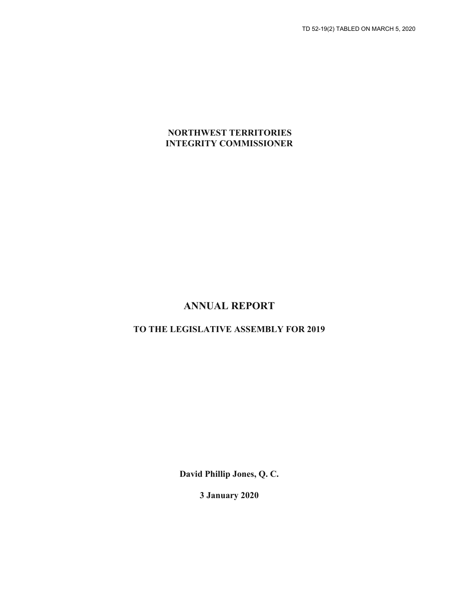### **NORTHWEST TERRITORIES INTEGRITY COMMISSIONER**

## **ANNUAL REPORT**

### **TO THE LEGISLATIVE ASSEMBLY FOR 2019**

**David Phillip Jones, Q. C.**

**3 January 2020**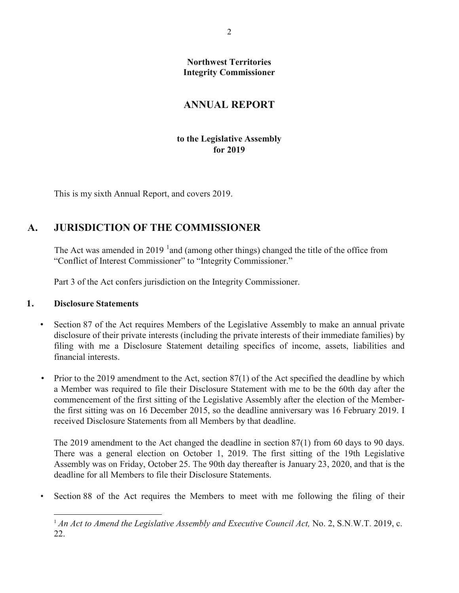**Northwest Territories Integrity Commissioner**

## **ANNUAL REPORT**

### **to the Legislative Assembly for 2019**

This is my sixth Annual Report, and covers 2019.

## **A. JURISDICTION OF THE COMMISSIONER**

The Act was amended in 20[1](#page-1-0)9  $^1$  and (among other things) changed the title of the office from "Conflict of Interest Commissioner" to "Integrity Commissioner."

Part 3 of the Act confers jurisdiction on the Integrity Commissioner.

### **1. Disclosure Statements**

- Section 87 of the Act requires Members of the Legislative Assembly to make an annual private disclosure of their private interests (including the private interests of their immediate families) by filing with me a Disclosure Statement detailing specifics of income, assets, liabilities and financial interests.
- Prior to the 2019 amendment to the Act, section 87(1) of the Act specified the deadline by which a Member was required to file their Disclosure Statement with me to be the 60th day after the commencement of the first sitting of the Legislative Assembly after the election of the Memberthe first sitting was on 16 December 2015, so the deadline anniversary was 16 February 2019. I received Disclosure Statements from all Members by that deadline.

The 2019 amendment to the Act changed the deadline in section 87(1) from 60 days to 90 days. There was a general election on October 1, 2019. The first sitting of the 19th Legislative Assembly was on Friday, October 25. The 90th day thereafter is January 23, 2020, and that is the deadline for all Members to file their Disclosure Statements.

<span id="page-1-0"></span>• Section 88 of the Act requires the Members to meet with me following the filing of their

<sup>&</sup>lt;sup>1</sup> An Act to Amend the Legislative Assembly and Executive Council Act, No. 2, S.N.W.T. 2019, c. 22.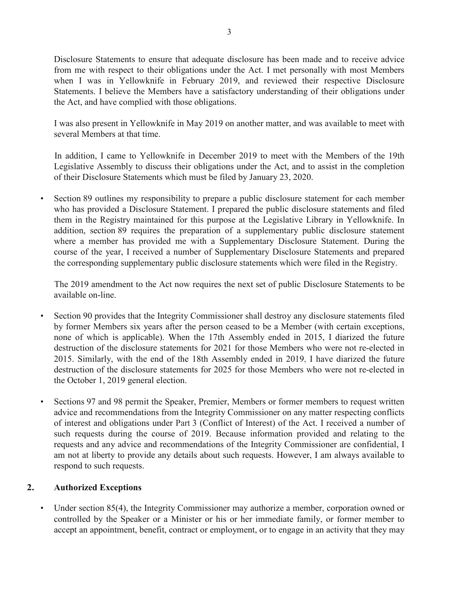Disclosure Statements to ensure that adequate disclosure has been made and to receive advice from me with respect to their obligations under the Act. I met personally with most Members when I was in Yellowknife in February 2019, and reviewed their respective Disclosure Statements. I believe the Members have a satisfactory understanding of their obligations under the Act, and have complied with those obligations.

I was also present in Yellowknife in May 2019 on another matter, and was available to meet with several Members at that time.

In addition, I came to Yellowknife in December 2019 to meet with the Members of the 19th Legislative Assembly to discuss their obligations under the Act, and to assist in the completion of their Disclosure Statements which must be filed by January 23, 2020.

• Section 89 outlines my responsibility to prepare a public disclosure statement for each member who has provided a Disclosure Statement. I prepared the public disclosure statements and filed them in the Registry maintained for this purpose at the Legislative Library in Yellowknife. In addition, section 89 requires the preparation of a supplementary public disclosure statement where a member has provided me with a Supplementary Disclosure Statement. During the course of the year, I received a number of Supplementary Disclosure Statements and prepared the corresponding supplementary public disclosure statements which were filed in the Registry.

The 2019 amendment to the Act now requires the next set of public Disclosure Statements to be available on-line.

- Section 90 provides that the Integrity Commissioner shall destroy any disclosure statements filed by former Members six years after the person ceased to be a Member (with certain exceptions, none of which is applicable). When the 17th Assembly ended in 2015, I diarized the future destruction of the disclosure statements for 2021 for those Members who were not re-elected in 2015. Similarly, with the end of the 18th Assembly ended in 2019, I have diarized the future destruction of the disclosure statements for 2025 for those Members who were not re-elected in the October 1, 2019 general election.
- Sections 97 and 98 permit the Speaker, Premier, Members or former members to request written advice and recommendations from the Integrity Commissioner on any matter respecting conflicts of interest and obligations under Part 3 (Conflict of Interest) of the Act. I received a number of such requests during the course of 2019. Because information provided and relating to the requests and any advice and recommendations of the Integrity Commissioner are confidential, I am not at liberty to provide any details about such requests. However, I am always available to respond to such requests.

### **2. Authorized Exceptions**

Under section 85(4), the Integrity Commissioner may authorize a member, corporation owned or controlled by the Speaker or a Minister or his or her immediate family, or former member to accept an appointment, benefit, contract or employment, or to engage in an activity that they may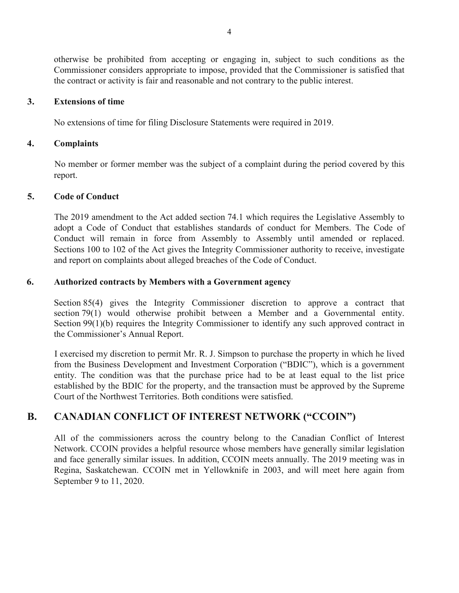otherwise be prohibited from accepting or engaging in, subject to such conditions as the Commissioner considers appropriate to impose, provided that the Commissioner is satisfied that the contract or activity is fair and reasonable and not contrary to the public interest.

### **3. Extensions of time**

No extensions of time for filing Disclosure Statements were required in 2019.

### **4. Complaints**

No member or former member was the subject of a complaint during the period covered by this report.

### **5. Code of Conduct**

The 2019 amendment to the Act added section 74.1 which requires the Legislative Assembly to adopt a Code of Conduct that establishes standards of conduct for Members. The Code of Conduct will remain in force from Assembly to Assembly until amended or replaced. Sections 100 to 102 of the Act gives the Integrity Commissioner authority to receive, investigate and report on complaints about alleged breaches of the Code of Conduct.

### **6. Authorized contracts by Members with a Government agency**

Section 85(4) gives the Integrity Commissioner discretion to approve a contract that section 79(1) would otherwise prohibit between a Member and a Governmental entity. Section 99(1)(b) requires the Integrity Commissioner to identify any such approved contract in the Commissioner's Annual Report.

I exercised my discretion to permit Mr. R. J. Simpson to purchase the property in which he lived from the Business Development and Investment Corporation ("BDIC"), which is a government entity. The condition was that the purchase price had to be at least equal to the list price established by the BDIC for the property, and the transaction must be approved by the Supreme Court of the Northwest Territories. Both conditions were satisfied.

## **B. CANADIAN CONFLICT OF INTEREST NETWORK ("CCOIN")**

All of the commissioners across the country belong to the Canadian Conflict of Interest Network. CCOIN provides a helpful resource whose members have generally similar legislation and face generally similar issues. In addition, CCOIN meets annually. The 2019 meeting was in Regina, Saskatchewan. CCOIN met in Yellowknife in 2003, and will meet here again from September 9 to 11, 2020.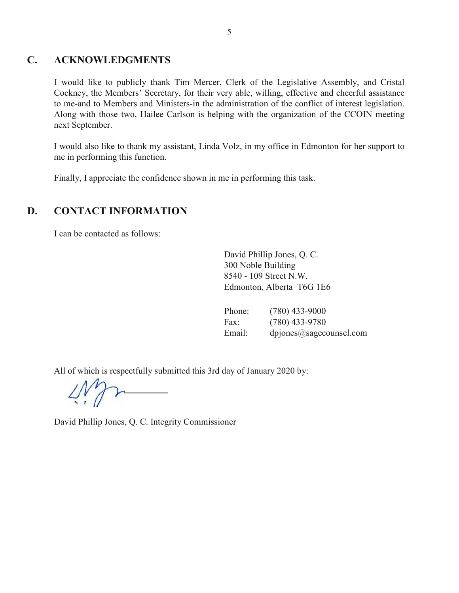### **C. ACKNOWLEDGMENTS**

I would like to publicly thank Tim Mercer, Clerk of the Legislative Assembly, and Cristal Cockney, the Members' Secretary, for their very able, willing, effective and cheerful assistance to me-and to Members and Ministers-in the administration of the conflict of interest legislation. Along with those two, Hailee Carlson is helping with the organization of the CCOIN meeting next September.

I would also like to thank my assistant, Linda Volz, in my office in Edmonton for her support to me in performing this function.

Finally, I appreciate the confidence shown in me in performing this task.

## **D. CONTACT INFORMATION**

I can be contacted as follows:

David Phillip Jones, Q. C. 300 Noble Building 8540 - 109 Street N.W. Edmonton, Alberta T6G 1E6

| Phone: | $(780)$ 433-9000        |
|--------|-------------------------|
| Fax:   | $(780)$ 433-9780        |
| Email: | dpjones@sagecounsel.com |

All of which is respectfully submitted this 3rd day of January 2020 by:

David Phillip Jones, Q. C. Integrity Commissioner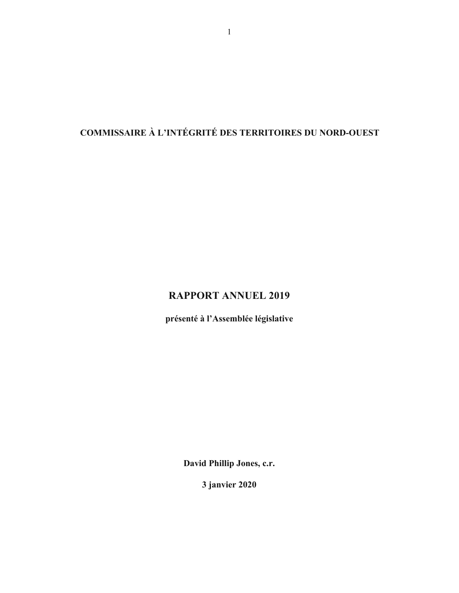# **COMMISSAIRE À L'INTÉGRITÉ DES TERRITOIRES DU NORD-OUEST**

## **RAPPORT ANNUEL 2019**

**présenté à l'Assemblée législative**

**David Phillip Jones, c.r.**

**3 janvier 2020**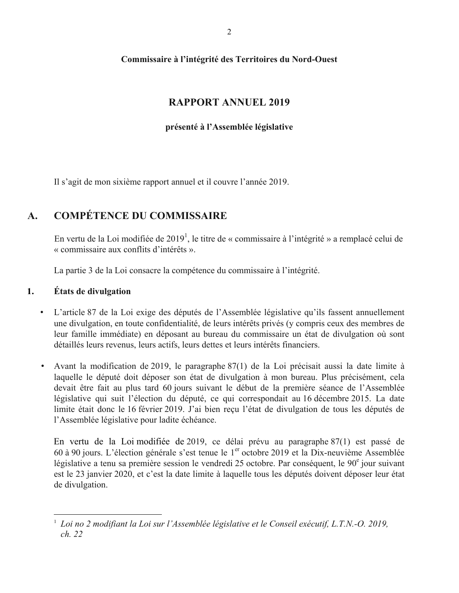### **Commissaire à l'intégrité des Territoires du Nord-Ouest**

## **RAPPORT ANNUEL 2019**

### **présenté à l'Assemblée législative**

Il s'agit de mon sixième rapport annuel et il couvre l'année 2019.

## **A. COMPÉTENCE DU COMMISSAIRE**

En vertu de la Loi modifiée de 2019<sup>1</sup>, le titre de « commissaire à l'intégrité » a remplacé celui de « commissaire aux conflits d'intérêts ».

La partie 3 de la Loi consacre la compétence du commissaire à l'intégrité.

### **1. États de divulgation**

l

- L'article 87 de la Loi exige des députés de l'Assemblée législative qu'ils fassent annuellement une divulgation, en toute confidentialité, de leurs intérêts privés (y compris ceux des membres de leur famille immédiate) en déposant au bureau du commissaire un état de divulgation où sont détaillés leurs revenus, leurs actifs, leurs dettes et leurs intérêts financiers.
- Avant la modification de 2019, le paragraphe 87(1) de la Loi précisait aussi la date limite à laquelle le député doit déposer son état de divulgation à mon bureau. Plus précisément, cela devait être fait au plus tard 60 jours suivant le début de la première séance de l'Assemblée législative qui suit l'élection du député, ce qui correspondait au 16 décembre 2015. La date limite était donc le 16 février 2019. J'ai bien reçu l'état de divulgation de tous les députés de l'Assemblée législative pour ladite échéance.

En vertu de la Loi modifiée de 2019, ce délai prévu au paragraphe 87(1) est passé de 60 à 90 jours. L'élection générale s'est tenue le  $1<sup>er</sup>$  octobre 2019 et la Dix-neuvième Assemblée législative a tenu sa première session le vendredi 25 octobre. Par conséquent, le 90<sup>e</sup> jour suivant est le 23 janvier 2020, et c'est la date limite à laquelle tous les députés doivent déposer leur état de divulgation.

<sup>&</sup>lt;sup>1</sup> Loi no 2 modifiant la Loi sur l'Assemblée législative et le Conseil exécutif, L.T.N.-O. 2019, *ch. 22*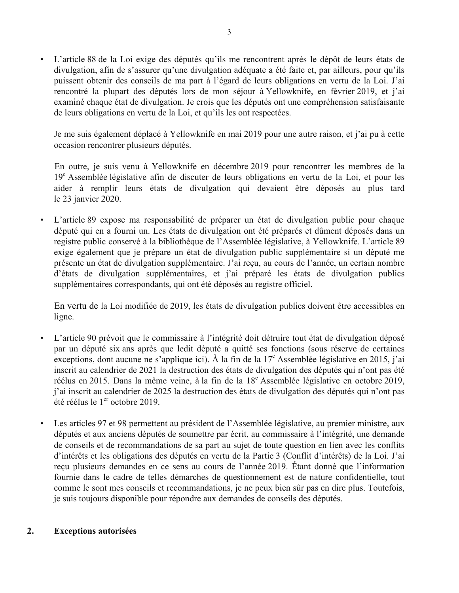L'article 88 de la Loi exige des députés qu'ils me rencontrent après le dépôt de leurs états de divulgation, afin de s'assurer qu'une divulgation adéquate a été faite et, par ailleurs, pour qu'ils puissent obtenir des conseils de ma part à l'égard de leurs obligations en vertu de la Loi. J'ai rencontré la plupart des députés lors de mon séjour à Yellowknife, en février 2019, et j'ai examiné chaque état de divulgation. Je crois que les députés ont une compréhension satisfaisante de leurs obligations en vertu de la Loi, et qu'ils les ont respectées.

Je me suis également déplacé à Yellowknife en mai 2019 pour une autre raison, et j'ai pu à cette occasion rencontrer plusieurs députés.

En outre, je suis venu à Yellowknife en décembre 2019 pour rencontrer les membres de la 19<sup>e</sup> Assemblée législative afin de discuter de leurs obligations en vertu de la Loi, et pour les aider à remplir leurs états de divulgation qui devaient être déposés au plus tard le 23 janvier 2020.

L'article 89 expose ma responsabilité de préparer un état de divulgation public pour chaque député qui en a fourni un. Les états de divulgation ont été préparés et dûment déposés dans un registre public conservé à la bibliothèque de l'Assemblée législative, à Yellowknife. L'article 89 exige également que je prépare un état de divulgation public supplémentaire si un député me présente un état de divulgation supplémentaire. J'ai reçu, au cours de l'année, un certain nombre d'états de divulgation supplémentaires, et j'ai préparé les états de divulgation publics supplémentaires correspondants, qui ont été déposés au registre officiel.

En vertu de la Loi modifiée de 2019, les états de divulgation publics doivent être accessibles en ligne.

- L'article 90 prévoit que le commissaire à l'intégrité doit détruire tout état de divulgation déposé par un député six ans après que ledit député a quitté ses fonctions (sous réserve de certaines exceptions, dont aucune ne s'applique ici). À la fin de la 17<sup>e</sup> Assemblée législative en 2015, j'ai inscrit au calendrier de 2021 la destruction des états de divulgation des députés qui n'ont pas été réélus en 2015. Dans la même veine, à la fin de la 18<sup>e</sup> Assemblée législative en octobre 2019, j'ai inscrit au calendrier de 2025 la destruction des états de divulgation des députés qui n'ont pas été réélus le 1<sup>er</sup> octobre 2019.
- Les articles 97 et 98 permettent au président de l'Assemblée législative, au premier ministre, aux députés et aux anciens députés de soumettre par écrit, au commissaire à l'intégrité, une demande de conseils et de recommandations de sa part au sujet de toute question en lien avec les conflits d'intérêts et les obligations des députés en vertu de la Partie 3 (Conflit d'intérêts) de la Loi. J'ai reçu plusieurs demandes en ce sens au cours de l'année 2019. Étant donné que l'information fournie dans le cadre de telles démarches de questionnement est de nature confidentielle, tout comme le sont mes conseils et recommandations, je ne peux bien sûr pas en dire plus. Toutefois, je suis toujours disponible pour répondre aux demandes de conseils des députés.

### **2. Exceptions autorisées**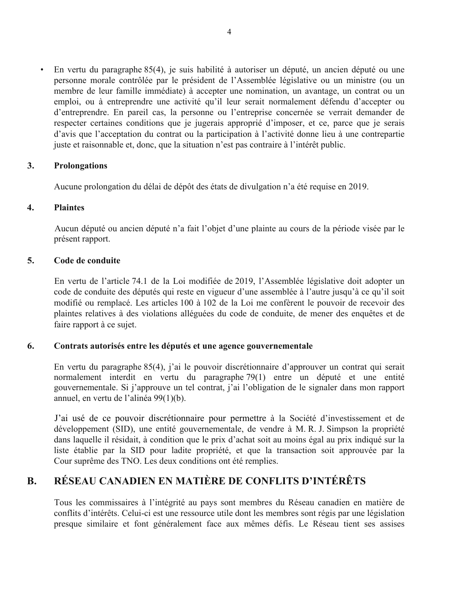• En vertu du paragraphe 85(4), je suis habilité à autoriser un député, un ancien député ou une personne morale contrôlée par le président de l'Assemblée législative ou un ministre (ou un membre de leur famille immédiate) à accepter une nomination, un avantage, un contrat ou un emploi, ou à entreprendre une activité qu'il leur serait normalement défendu d'accepter ou d'entreprendre. En pareil cas, la personne ou l'entreprise concernée se verrait demander de respecter certaines conditions que je jugerais approprié d'imposer, et ce, parce que je serais d'avis que l'acceptation du contrat ou la participation à l'activité donne lieu à une contrepartie juste et raisonnable et, donc, que la situation n'est pas contraire à l'intérêt public.

### **3. Prolongations**

Aucune prolongation du délai de dépôt des états de divulgation n'a été requise en 2019.

### **4. Plaintes**

Aucun député ou ancien député n'a fait l'objet d'une plainte au cours de la période visée par le présent rapport.

### **5. Code de conduite**

En vertu de l'article 74.1 de la Loi modifiée de 2019, l'Assemblée législative doit adopter un code de conduite des députés qui reste en vigueur d'une assemblée à l'autre jusqu'à ce qu'il soit modifié ou remplacé. Les articles 100 à 102 de la Loi me confèrent le pouvoir de recevoir des plaintes relatives à des violations alléguées du code de conduite, de mener des enquêtes et de faire rapport à ce sujet.

### **6. Contrats autorisés entre les députés et une agence gouvernementale**

En vertu du paragraphe 85(4), j'ai le pouvoir discrétionnaire d'approuver un contrat qui serait normalement interdit en vertu du paragraphe 79(1) entre un député et une entité gouvernementale. Si j'approuve un tel contrat, j'ai l'obligation de le signaler dans mon rapport annuel, en vertu de l'alinéa 99(1)(b).

J'ai usé de ce pouvoir discrétionnaire pour permettre à la Société d'investissement et de développement (SID), une entité gouvernementale, de vendre à M. R. J. Simpson la propriété dans laquelle il résidait, à condition que le prix d'achat soit au moins égal au prix indiqué sur la liste établie par la SID pour ladite propriété, et que la transaction soit approuvée par la Cour suprême des TNO. Les deux conditions ont été remplies.

## **B. RÉSEAU CANADIEN EN MATIÈRE DE CONFLITS D'INTÉRÊTS**

Tous les commissaires à l'intégrité au pays sont membres du Réseau canadien en matière de conflits d'intérêts. Celui-ci est une ressource utile dont les membres sont régis par une législation presque similaire et font généralement face aux mêmes défis. Le Réseau tient ses assises